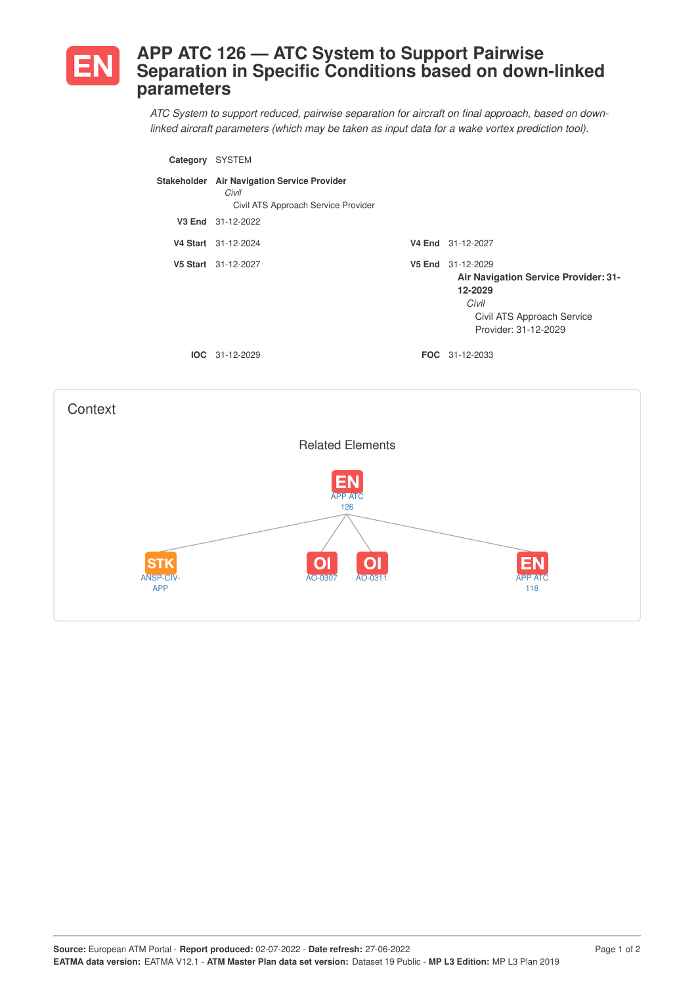

## **APP ATC 126 — ATC System to Support Pairwise Separation in Specific Conditions based on down-linked parameters**

*ATC System to support reduced, pairwise separation for aircraft on final approach, based on downlinked aircraft parameters (which may be taken as input data for a wake vortex prediction tool).*

| Category | <b>SYSTEM</b>                                                                               |                                                                                                                                     |
|----------|---------------------------------------------------------------------------------------------|-------------------------------------------------------------------------------------------------------------------------------------|
|          | Stakeholder Air Navigation Service Provider<br>Civil<br>Civil ATS Approach Service Provider |                                                                                                                                     |
|          | V3 End 31-12-2022                                                                           |                                                                                                                                     |
|          | V4 Start 31-12-2024                                                                         | V4 End 31-12-2027                                                                                                                   |
|          | V5 Start 31-12-2027                                                                         | V5 End 31-12-2029<br>Air Navigation Service Provider: 31-<br>12-2029<br>Civil<br>Civil ATS Approach Service<br>Provider: 31-12-2029 |
|          | $IOC 31-12-2029$                                                                            | <b>FOC</b> 31-12-2033                                                                                                               |